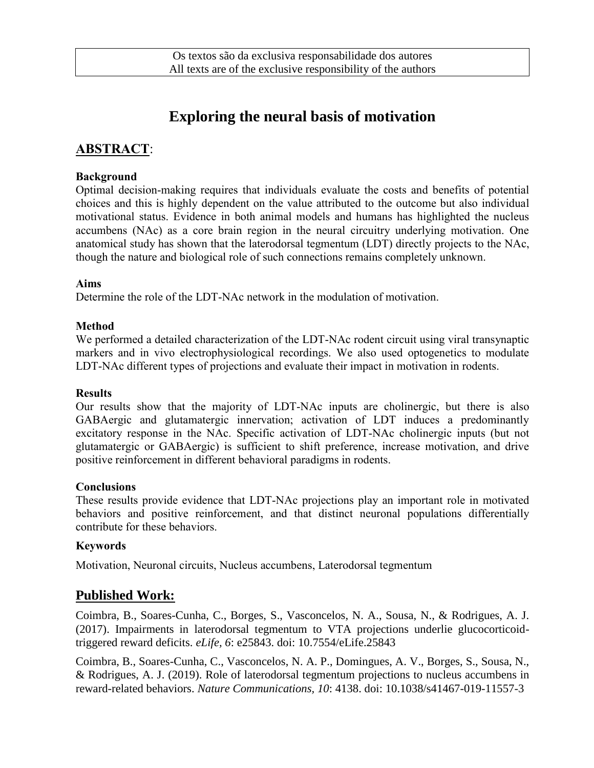# **Exploring the neural basis of motivation**

# **ABSTRACT**:

#### **Background**

Optimal decision-making requires that individuals evaluate the costs and benefits of potential choices and this is highly dependent on the value attributed to the outcome but also individual motivational status. Evidence in both animal models and humans has highlighted the nucleus accumbens (NAc) as a core brain region in the neural circuitry underlying motivation. One anatomical study has shown that the laterodorsal tegmentum (LDT) directly projects to the NAc, though the nature and biological role of such connections remains completely unknown.

#### **Aims**

Determine the role of the LDT-NAc network in the modulation of motivation.

#### **Method**

We performed a detailed characterization of the LDT-NAc rodent circuit using viral transynaptic markers and in vivo electrophysiological recordings. We also used optogenetics to modulate LDT-NAc different types of projections and evaluate their impact in motivation in rodents.

#### **Results**

Our results show that the majority of LDT-NAc inputs are cholinergic, but there is also GABAergic and glutamatergic innervation; activation of LDT induces a predominantly excitatory response in the NAc. Specific activation of LDT-NAc cholinergic inputs (but not glutamatergic or GABAergic) is sufficient to shift preference, increase motivation, and drive positive reinforcement in different behavioral paradigms in rodents.

#### **Conclusions**

These results provide evidence that LDT-NAc projections play an important role in motivated behaviors and positive reinforcement, and that distinct neuronal populations differentially contribute for these behaviors.

#### **Keywords**

Motivation, Neuronal circuits, Nucleus accumbens, Laterodorsal tegmentum

## **Published Work:**

Coimbra, B., Soares-Cunha, C., Borges, S., Vasconcelos, N. A., Sousa, N., & Rodrigues, A. J. (2017). Impairments in laterodorsal tegmentum to VTA projections underlie glucocorticoidtriggered reward deficits. *eLife, 6*: e25843. doi: 10.7554/eLife.25843

Coimbra, B., Soares-Cunha, C., Vasconcelos, N. A. P., Domingues, A. V., Borges, S., Sousa, N., & Rodrigues, A. J. (2019). Role of laterodorsal tegmentum projections to nucleus accumbens in reward-related behaviors. *Nature Communications, 10*: 4138. doi: 10.1038/s41467-019-11557-3